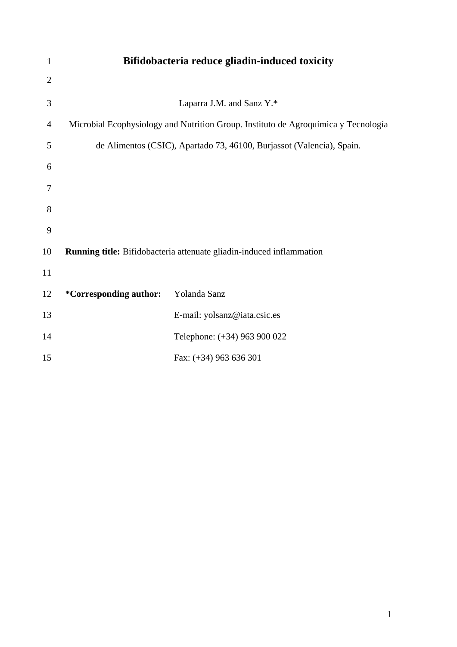| $\mathbf{1}$   | Bifidobacteria reduce gliadin-induced toxicity                                     |                              |  |  |  |
|----------------|------------------------------------------------------------------------------------|------------------------------|--|--|--|
| $\overline{2}$ |                                                                                    |                              |  |  |  |
| 3              | Laparra J.M. and Sanz Y.*                                                          |                              |  |  |  |
| 4              | Microbial Ecophysiology and Nutrition Group. Instituto de Agroquímica y Tecnología |                              |  |  |  |
| 5              | de Alimentos (CSIC), Apartado 73, 46100, Burjassot (Valencia), Spain.              |                              |  |  |  |
| 6              |                                                                                    |                              |  |  |  |
| 7              |                                                                                    |                              |  |  |  |
| 8              |                                                                                    |                              |  |  |  |
| 9              |                                                                                    |                              |  |  |  |
| 10             | Running title: Bifidobacteria attenuate gliadin-induced inflammation               |                              |  |  |  |
| 11             |                                                                                    |                              |  |  |  |
| 12             | <i>*</i> Corresponding author:                                                     | Yolanda Sanz                 |  |  |  |
| 13             |                                                                                    | E-mail: yolsanz@iata.csic.es |  |  |  |
| 14             |                                                                                    | Telephone: (+34) 963 900 022 |  |  |  |
| 15             |                                                                                    | Fax: $(+34)$ 963 636 301     |  |  |  |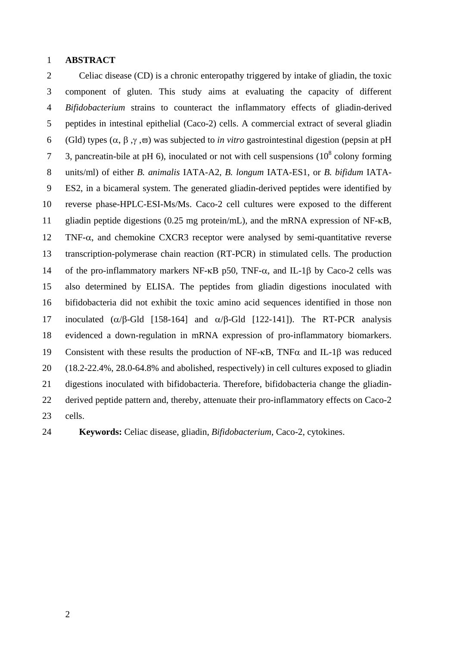## 1 **ABSTRACT**

2 Celiac disease (CD) is a chronic enteropathy triggered by intake of gliadin, the toxic 3 component of gluten. This study aims at evaluating the capacity of different 4 *Bifidobacterium* strains to counteract the inflammatory effects of gliadin-derived 5 peptides in intestinal epithelial (Caco-2) cells. A commercial extract of several gliadin 6 (Gld) types  $(\alpha, \beta, \gamma, \overline{\omega})$  was subjected to *in vitro* gastrointestinal digestion (pepsin at pH 3, pancreatin-bile at pH 6), inoculated or not with cell suspensions  $(10^8 \text{ colony forming})$ 8 units/ml) of either *B. animalis* IATA-A2, *B. longum* IATA-ES1, or *B. bifidum* IATA-9 ES2, in a bicameral system. The generated gliadin-derived peptides were identified by 10 reverse phase-HPLC-ESI-Ms/Ms. Caco-2 cell cultures were exposed to the different 11 gliadin peptide digestions (0.25 mg protein/mL), and the mRNA expression of NF- $\kappa$ B, 12 TNF- $\alpha$ , and chemokine CXCR3 receptor were analysed by semi-quantitative reverse 13 transcription-polymerase chain reaction (RT-PCR) in stimulated cells. The production 14 of the pro-inflammatory markers NF- $\kappa$ B p50, TNF- $\alpha$ , and IL-1 $\beta$  by Caco-2 cells was 15 also determined by ELISA. The peptides from gliadin digestions inoculated with 16 bifidobacteria did not exhibit the toxic amino acid sequences identified in those non 17 inoculated  $(\alpha/\beta$ -Gld [158-164] and  $\alpha/\beta$ -Gld [122-141]). The RT-PCR analysis 18 evidenced a down-regulation in mRNA expression of pro-inflammatory biomarkers. 19 Consistent with these results the production of NF- $\kappa$ B. TNF $\alpha$  and IL-18 was reduced 20 (18.2-22.4%, 28.0-64.8% and abolished, respectively) in cell cultures exposed to gliadin 21 digestions inoculated with bifidobacteria. Therefore, bifidobacteria change the gliadin-22 derived peptide pattern and, thereby, attenuate their pro-inflammatory effects on Caco-2 23 cells.

24 **Keywords:** Celiac disease, gliadin, *Bifidobacterium*, Caco-2, cytokines.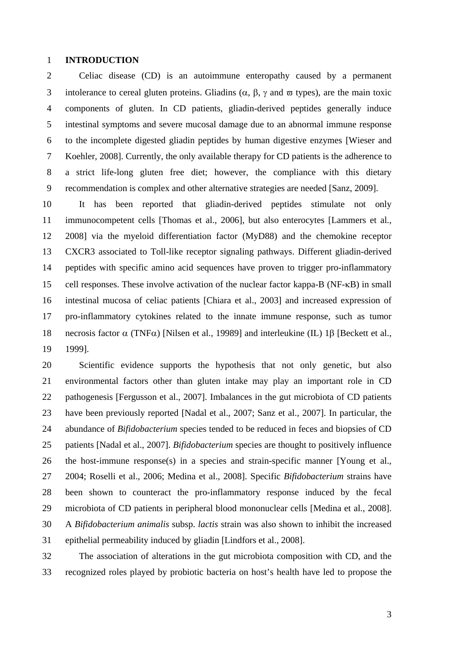## 1 **INTRODUCTION**

2 Celiac disease (CD) is an autoimmune enteropathy caused by a permanent 3 intolerance to cereal gluten proteins. Gliadins  $(\alpha, \beta, \gamma \text{ and } \varpi \text{ types})$ , are the main toxic 4 components of gluten. In CD patients, gliadin-derived peptides generally induce 5 intestinal symptoms and severe mucosal damage due to an abnormal immune response 6 to the incomplete digested gliadin peptides by human digestive enzymes [Wieser and 7 Koehler, 2008]. Currently, the only available therapy for CD patients is the adherence to 8 a strict life-long gluten free diet; however, the compliance with this dietary 9 recommendation is complex and other alternative strategies are needed [Sanz, 2009].

10 It has been reported that gliadin-derived peptides stimulate not only 11 immunocompetent cells [Thomas et al., 2006], but also enterocytes [Lammers et al., 12 2008] via the myeloid differentiation factor (MyD88) and the chemokine receptor 13 CXCR3 associated to Toll-like receptor signaling pathways. Different gliadin-derived 14 peptides with specific amino acid sequences have proven to trigger pro-inflammatory 15 cell responses. These involve activation of the nuclear factor kappa-B (NF- $\kappa$ B) in small 16 intestinal mucosa of celiac patients [Chiara et al., 2003] and increased expression of 17 pro-inflammatory cytokines related to the innate immune response, such as tumor 18 necrosis factor  $\alpha$  (TNF $\alpha$ ) [Nilsen et al., 19989] and interleukine (IL) 18 [Beckett et al., 19 1999].

20 Scientific evidence supports the hypothesis that not only genetic, but also 21 environmental factors other than gluten intake may play an important role in CD 22 pathogenesis [Fergusson et al., 2007]. Imbalances in the gut microbiota of CD patients 23 have been previously reported [Nadal et al., 2007; Sanz et al., 2007]. In particular, the 24 abundance of *Bifidobacterium* species tended to be reduced in feces and biopsies of CD 25 patients [Nadal et al., 2007]. *Bifidobacterium* species are thought to positively influence 26 the host-immune response(s) in a species and strain-specific manner [Young et al., 27 2004; Roselli et al., 2006; Medina et al., 2008]. Specific *Bifidobacterium* strains have 28 been shown to counteract the pro-inflammatory response induced by the fecal 29 microbiota of CD patients in peripheral blood mononuclear cells [Medina et al., 2008]. 30 A *Bifidobacterium animalis* subsp. *lactis* strain was also shown to inhibit the increased 31 epithelial permeability induced by gliadin [Lindfors et al., 2008].

32 The association of alterations in the gut microbiota composition with CD, and the 33 recognized roles played by probiotic bacteria on host's health have led to propose the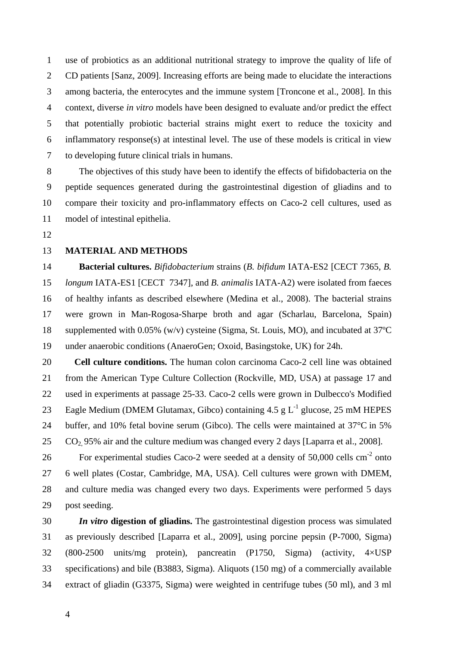1 use of probiotics as an additional nutritional strategy to improve the quality of life of 2 CD patients [Sanz, 2009]. Increasing efforts are being made to elucidate the interactions 3 among bacteria, the enterocytes and the immune system [Troncone et al., 2008]. In this 4 context, diverse *in vitro* models have been designed to evaluate and/or predict the effect 5 that potentially probiotic bacterial strains might exert to reduce the toxicity and 6 inflammatory response(s) at intestinal level. The use of these models is critical in view 7 to developing future clinical trials in humans.

8 The objectives of this study have been to identify the effects of bifidobacteria on the 9 peptide sequences generated during the gastrointestinal digestion of gliadins and to 10 compare their toxicity and pro-inflammatory effects on Caco-2 cell cultures, used as 11 model of intestinal epithelia.

12

# 13 **MATERIAL AND METHODS**

14 **Bacterial cultures.** *Bifidobacterium* strains (*B. bifidum* IATA-ES2 [CECT 7365*, B.*  15 *longum* IATA-ES1 [CECT 7347], and *B. animalis* IATA-A2) were isolated from faeces 16 of healthy infants as described elsewhere (Medina et al., 2008). The bacterial strains 17 were grown in Man-Rogosa-Sharpe broth and agar (Scharlau, Barcelona, Spain) 18 supplemented with 0.05% (w/v) cysteine (Sigma, St. Louis, MO), and incubated at 37ºC 19 under anaerobic conditions (AnaeroGen; Oxoid, Basingstoke, UK) for 24h.

20 **Cell culture conditions.** The human colon carcinoma Caco-2 cell line was obtained 21 from the American Type Culture Collection (Rockville, MD, USA) at passage 17 and 22 used in experiments at passage 25-33. Caco-2 cells were grown in Dulbecco's Modified 23 Eagle Medium (DMEM Glutamax, Gibco) containing 4.5 g  $L^{-1}$  glucose, 25 mM HEPES 24 buffer, and 10% fetal bovine serum (Gibco). The cells were maintained at 37<sup>o</sup>C in 5%  $25$  CO<sub>2</sub>, 95% air and the culture medium was changed every 2 days [Laparra et al., 2008].

26 For experimental studies Caco-2 were seeded at a density of  $50,000$  cells cm<sup>-2</sup> onto 27 6 well plates (Costar, Cambridge, MA, USA). Cell cultures were grown with DMEM, 28 and culture media was changed every two days. Experiments were performed 5 days 29 post seeding.

30 *In vitro* **digestion of gliadins.** The gastrointestinal digestion process was simulated 31 as previously described [Laparra et al., 2009], using porcine pepsin (P-7000, Sigma) 32 (800-2500 units/mg protein), pancreatin (P1750, Sigma) (activity, 4×USP 33 specifications) and bile (B3883, Sigma). Aliquots (150 mg) of a commercially available 34 extract of gliadin (G3375, Sigma) were weighted in centrifuge tubes (50 ml), and 3 ml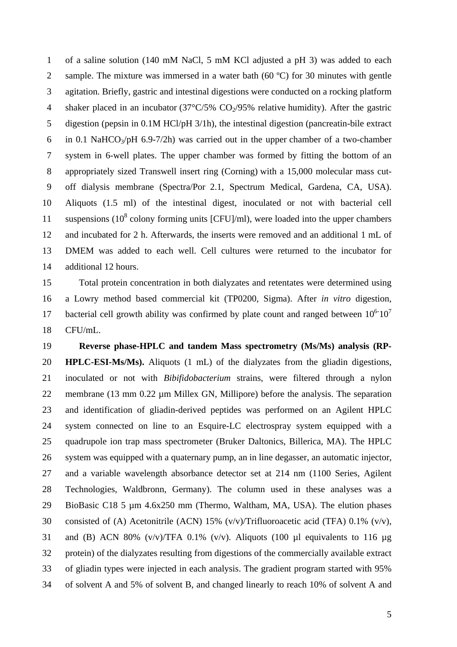1 of a saline solution (140 mM NaCl, 5 mM KCl adjusted a pH 3) was added to each 2 sample. The mixture was immersed in a water bath (60 °C) for 30 minutes with gentle 3 agitation. Briefly, gastric and intestinal digestions were conducted on a rocking platform 4 shaker placed in an incubator  $(37^{\circ}C/5\%$  CO<sub>2</sub>/95% relative humidity). After the gastric 5 digestion (pepsin in 0.1M HCl/pH 3/1h), the intestinal digestion (pancreatin-bile extract 6 in 0.1 NaHCO $\alpha$ /pH 6.9-7/2h) was carried out in the upper chamber of a two-chamber 7 system in 6-well plates. The upper chamber was formed by fitting the bottom of an 8 appropriately sized Transwell insert ring (Corning) with a 15,000 molecular mass cut-9 off dialysis membrane (Spectra/Por 2.1, Spectrum Medical, Gardena, CA, USA). 10 Aliquots (1.5 ml) of the intestinal digest, inoculated or not with bacterial cell 11 suspensions  $(10^8 \text{ colony forming units } [CFU]/m!)$ , were loaded into the upper chambers 12 and incubated for 2 h. Afterwards, the inserts were removed and an additional 1 mL of 13 DMEM was added to each well. Cell cultures were returned to the incubator for 14 additional 12 hours.

15 Total protein concentration in both dialyzates and retentates were determined using 16 a Lowry method based commercial kit (TP0200, Sigma). After *in vitro* digestion, 17 bacterial cell growth ability was confirmed by plate count and ranged between  $10^{6}$ - $10^{7}$ 18 CFU/mL.

19 **Reverse phase-HPLC and tandem Mass spectrometry (Ms/Ms) analysis (RP-**20 **HPLC-ESI-Ms/Ms).** Aliquots (1 mL) of the dialyzates from the gliadin digestions, 21 inoculated or not with *Bibifidobacterium* strains, were filtered through a nylon 22 membrane (13 mm 0.22 µm Millex GN, Millipore) before the analysis. The separation 23 and identification of gliadin-derived peptides was performed on an Agilent HPLC 24 system connected on line to an Esquire-LC electrospray system equipped with a 25 quadrupole ion trap mass spectrometer (Bruker Daltonics, Billerica, MA). The HPLC 26 system was equipped with a quaternary pump, an in line degasser, an automatic injector, 27 and a variable wavelength absorbance detector set at 214 nm (1100 Series, Agilent 28 Technologies, Waldbronn, Germany). The column used in these analyses was a 29 BioBasic C18 5 µm 4.6x250 mm (Thermo, Waltham, MA, USA). The elution phases 30 consisted of (A) Acetonitrile (ACN) 15% (v/v)/Trifluoroacetic acid (TFA) 0.1% (v/v), 31 and (B) ACN 80%  $(v/v)/TFA$  0.1%  $(v/v)$ . Aliquots (100 µl equivalents to 116 µg 32 protein) of the dialyzates resulting from digestions of the commercially available extract 33 of gliadin types were injected in each analysis. The gradient program started with 95% 34 of solvent A and 5% of solvent B, and changed linearly to reach 10% of solvent A and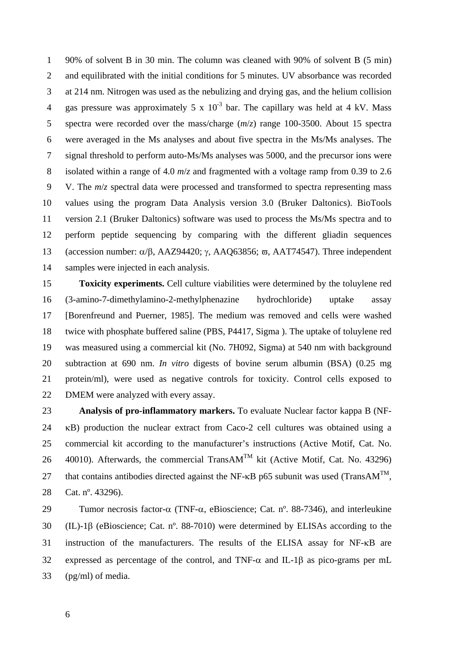1 90% of solvent B in 30 min. The column was cleaned with 90% of solvent B (5 min) 2 and equilibrated with the initial conditions for 5 minutes. UV absorbance was recorded 3 at 214 nm. Nitrogen was used as the nebulizing and drying gas, and the helium collision 4 gas pressure was approximately 5 x  $10^{-3}$  bar. The capillary was held at 4 kV. Mass 5 spectra were recorded over the mass/charge (*m*/*z*) range 100-3500. About 15 spectra 6 were averaged in the Ms analyses and about five spectra in the Ms/Ms analyses. The 7 signal threshold to perform auto-Ms/Ms analyses was 5000, and the precursor ions were 8 isolated within a range of 4.0 *m*/*z* and fragmented with a voltage ramp from 0.39 to 2.6 9 V. The *m*/*z* spectral data were processed and transformed to spectra representing mass 10 values using the program Data Analysis version 3.0 (Bruker Daltonics). BioTools 11 version 2.1 (Bruker Daltonics) software was used to process the Ms/Ms spectra and to 12 perform peptide sequencing by comparing with the different gliadin sequences 13 (accession number:  $\alpha/\beta$ , AAZ94420;  $\gamma$ , AAQ63856;  $\overline{\omega}$ , AAT74547). Three independent 14 samples were injected in each analysis.

15 **Toxicity experiments.** Cell culture viabilities were determined by the toluylene red 16 (3-amino-7-dimethylamino-2-methylphenazine hydrochloride) uptake assay 17 [Borenfreund and Puerner, 1985]. The medium was removed and cells were washed 18 twice with phosphate buffered saline (PBS, P4417, Sigma ). The uptake of toluylene red 19 was measured using a commercial kit (No. 7H092, Sigma) at 540 nm with background 20 subtraction at 690 nm. *In vitro* digests of bovine serum albumin (BSA) (0.25 mg 21 protein/ml), were used as negative controls for toxicity. Control cells exposed to 22 DMEM were analyzed with every assay.

23 **Analysis of pro-inflammatory markers.** To evaluate Nuclear factor kappa B (NF-24 B) production the nuclear extract from Caco-2 cell cultures was obtained using a 25 commercial kit according to the manufacturer's instructions (Active Motif, Cat. No. 26 40010). Afterwards, the commercial TransAM<sup>TM</sup> kit (Active Motif, Cat. No. 43296) 27 that contains antibodies directed against the NF- $\kappa$ B p65 subunit was used (TransAM<sup>TM</sup>, 28 Cat. nº. 43296).

29 Tumor necrosis factor- $\alpha$  (TNF- $\alpha$ , eBioscience; Cat. n°, 88-7346), and interleukine 30 (IL)-18 (eBioscience: Cat. n°, 88-7010) were determined by ELISAs according to the  $31$  instruction of the manufacturers. The results of the ELISA assay for NF- $\kappa$ B are 32 expressed as percentage of the control, and TNF- $\alpha$  and IL-1 $\beta$  as pico-grams per mL 33 (pg/ml) of media.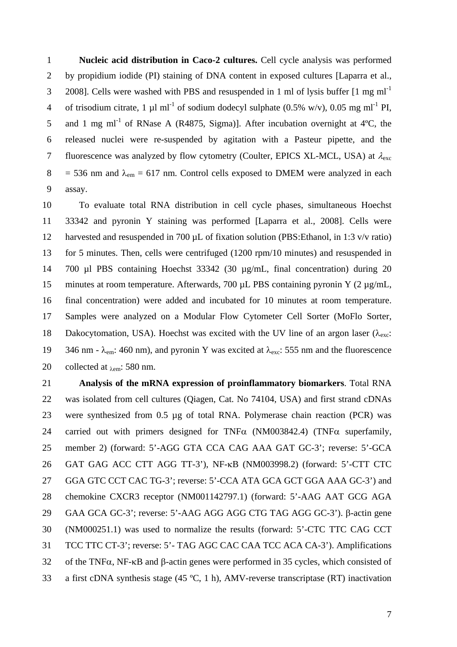1 **Nucleic acid distribution in Caco-2 cultures.** Cell cycle analysis was performed 2 by propidium iodide (PI) staining of DNA content in exposed cultures [Laparra et al., 2008]. Cells were washed with PBS and resuspended in 1 ml of lysis buffer  $[1 \text{ mg ml}^{-1}]$ 4 of trisodium citrate, 1  $\mu$ l ml<sup>-1</sup> of sodium dodecyl sulphate (0.5% w/v), 0.05 mg ml<sup>-1</sup> PI, 5 and 1 mg ml<sup>-1</sup> of RNase A (R4875, Sigma)]. After incubation overnight at  $4^{\circ}$ C, the 6 released nuclei were re-suspended by agitation with a Pasteur pipette, and the 7 fluorescence was analyzed by flow cytometry (Coulter, EPICS XL-MCL, USA) at  $\lambda_{\rm exc}$  $8 = 536$  nm and  $\lambda_{\text{em}} = 617$  nm. Control cells exposed to DMEM were analyzed in each 9 assay.

10 To evaluate total RNA distribution in cell cycle phases, simultaneous Hoechst 11 33342 and pyronin Y staining was performed [Laparra et al., 2008]. Cells were 12 harvested and resuspended in 700  $\mu$ L of fixation solution (PBS: Ethanol, in 1:3 v/v ratio) 13 for 5 minutes. Then, cells were centrifuged (1200 rpm/10 minutes) and resuspended in 14 700 µl PBS containing Hoechst 33342 (30 µg/mL, final concentration) during 20 15 minutes at room temperature. Afterwards, 700 µL PBS containing pyronin Y (2 µg/mL, 16 final concentration) were added and incubated for 10 minutes at room temperature. 17 Samples were analyzed on a Modular Flow Cytometer Cell Sorter (MoFlo Sorter, 18 Dakocytomation, USA). Hoechst was excited with the UV line of an argon laser ( $\lambda_{\text{exc}}$ : 19 346 nm -  $\lambda_{em}$ : 460 nm), and pyronin Y was excited at  $\lambda_{exc}$ : 555 nm and the fluorescence 20 collected at  $_{\lambda \text{em}}$ : 580 nm.

21 **Analysis of the mRNA expression of proinflammatory biomarkers**. Total RNA 22 was isolated from cell cultures (Qiagen, Cat. No 74104, USA) and first strand cDNAs 23 were synthesized from 0.5 µg of total RNA. Polymerase chain reaction (PCR) was 24 carried out with primers designed for TNF $\alpha$  (NM003842.4) (TNF $\alpha$  superfamily, 25 member 2) (forward: 5'-AGG GTA CCA CAG AAA GAT GC-3'; reverse: 5'-GCA 26 GAT GAG ACC CTT AGG TT-3'), NF-KB (NM003998.2) (forward: 5'-CTT CTC 27 GGA GTC CCT CAC TG-3'; reverse: 5'-CCA ATA GCA GCT GGA AAA GC-3') and 28 chemokine CXCR3 receptor (NM001142797.1) (forward: 5'-AAG AAT GCG AGA 29 GAA GCA GC-3'; reverse: 5'-AAG AGG AGG CTG TAG AGG GC-3'). B-actin gene 30 (NM000251.1) was used to normalize the results (forward: 5'-CTC TTC CAG CCT 31 TCC TTC CT-3'; reverse: 5'- TAG AGC CAC CAA TCC ACA CA-3'). Amplifications  $32$  of the TNF $\alpha$ , NF- $\kappa$ B and  $\beta$ -actin genes were performed in 35 cycles, which consisted of 33 a first cDNA synthesis stage (45 ºC, 1 h), AMV-reverse transcriptase (RT) inactivation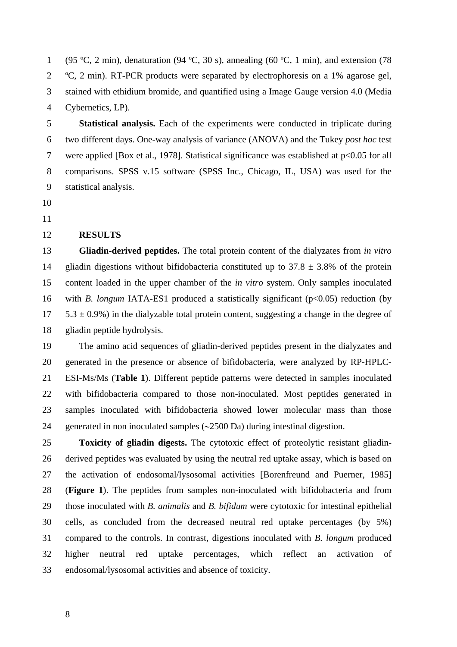1 (95 °C, 2 min), denaturation (94 °C, 30 s), annealing (60 °C, 1 min), and extension (78 2 ºC, 2 min). RT-PCR products were separated by electrophoresis on a 1% agarose gel, 3 stained with ethidium bromide, and quantified using a Image Gauge version 4.0 (Media 4 Cybernetics, LP).

5 **Statistical analysis.** Each of the experiments were conducted in triplicate during 6 two different days. One-way analysis of variance (ANOVA) and the Tukey *post hoc* test 7 were applied [Box et al., 1978]. Statistical significance was established at p<0.05 for all 8 comparisons. SPSS v.15 software (SPSS Inc., Chicago, IL, USA) was used for the 9 statistical analysis.

- 10
- 11

## 12 **RESULTS**

13 **Gliadin-derived peptides.** The total protein content of the dialyzates from *in vitro* 14 gliadin digestions without bifidobacteria constituted up to  $37.8 \pm 3.8\%$  of the protein 15 content loaded in the upper chamber of the *in vitro* system. Only samples inoculated 16 with *B. longum* IATA-ES1 produced a statistically significant (p<0.05) reduction (by  $17$   $5.3 \pm 0.9\%$ ) in the dialyzable total protein content, suggesting a change in the degree of 18 gliadin peptide hydrolysis.

19 The amino acid sequences of gliadin-derived peptides present in the dialyzates and 20 generated in the presence or absence of bifidobacteria, were analyzed by RP-HPLC-21 ESI-Ms/Ms (**Table 1**). Different peptide patterns were detected in samples inoculated 22 with bifidobacteria compared to those non-inoculated. Most peptides generated in 23 samples inoculated with bifidobacteria showed lower molecular mass than those 24 generated in non inoculated samples  $(\sim 2500 \text{ Da})$  during intestinal digestion.

25 **Toxicity of gliadin digests.** The cytotoxic effect of proteolytic resistant gliadin-26 derived peptides was evaluated by using the neutral red uptake assay, which is based on 27 the activation of endosomal/lysosomal activities [Borenfreund and Puerner, 1985] 28 (**Figure 1**). The peptides from samples non-inoculated with bifidobacteria and from 29 those inoculated with *B. animalis* and *B. bifidum* were cytotoxic for intestinal epithelial 30 cells, as concluded from the decreased neutral red uptake percentages (by 5%) 31 compared to the controls. In contrast, digestions inoculated with *B. longum* produced 32 higher neutral red uptake percentages, which reflect an activation of 33 endosomal/lysosomal activities and absence of toxicity.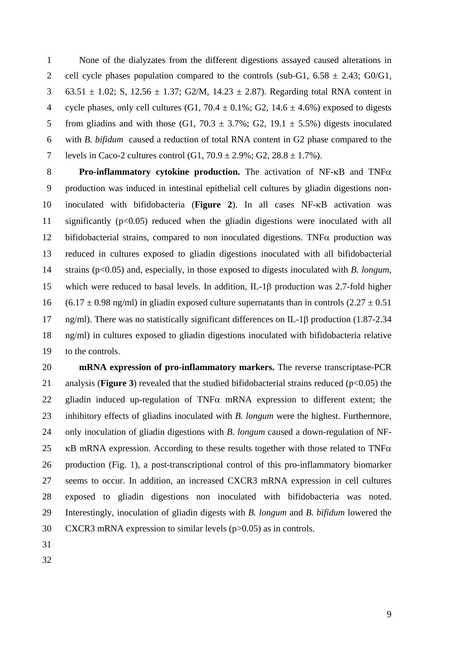1 None of the dialyzates from the different digestions assayed caused alterations in 2 cell cycle phases population compared to the controls (sub-G1,  $6.58 \pm 2.43$ ; G0/G1, 3 63.51  $\pm$  1.02; S, 12.56  $\pm$  1.37; G2/M, 14.23  $\pm$  2.87). Regarding total RNA content in 4 cycle phases, only cell cultures (G1, 70.4  $\pm$  0.1%; G2, 14.6  $\pm$  4.6%) exposed to digests 5 from gliadins and with those (G1,  $70.3 \pm 3.7\%$ ; G2, 19.1  $\pm$  5.5%) digests inoculated 6 with *B. bifidum* caused a reduction of total RNA content in G2 phase compared to the 7 levels in Caco-2 cultures control  $(G1, 70.9 \pm 2.9\%; G2, 28.8 \pm 1.7\%)$ .

8 **Pro-inflammatory cytokine production.** The activation of NF- $\kappa$ B and TNF $\alpha$ 9 production was induced in intestinal epithelial cell cultures by gliadin digestions non-10 inoculated with bifidobacteria (Figure 2). In all cases NF-KB activation was 11 significantly (p<0.05) reduced when the gliadin digestions were inoculated with all 12 bifidobacterial strains, compared to non inoculated digestions. TNF $\alpha$  production was 13 reduced in cultures exposed to gliadin digestions inoculated with all bifidobacterial 14 strains (p<0.05) and, especially, in those exposed to digests inoculated with *B. longum*, 15 which were reduced to basal levels. In addition, IL-1 $\beta$  production was 2.7-fold higher 16 (6.17  $\pm$  0.98 ng/ml) in gliadin exposed culture supernatants than in controls (2.27  $\pm$  0.51 17 ng/ml). There was no statistically significant differences on IL-18 production (1.87-2.34) 18 ng/ml) in cultures exposed to gliadin digestions inoculated with bifidobacteria relative 19 to the controls.

20 **mRNA expression of pro-inflammatory markers.** The reverse transcriptase-PCR 21 analysis (**Figure 3**) revealed that the studied bifidobacterial strains reduced ( $p<0.05$ ) the 22 gliadin induced up-regulation of TNF $\alpha$  mRNA expression to different extent; the 23 inhibitory effects of gliadins inoculated with *B. longum* were the highest. Furthermore, 24 only inoculation of gliadin digestions with *B. longum* caused a down-regulation of NF-25  $\,\kappa$ B mRNA expression. According to these results together with those related to TNF $\alpha$ 26 production (Fig. 1), a post-transcriptional control of this pro-inflammatory biomarker 27 seems to occur. In addition, an increased CXCR3 mRNA expression in cell cultures 28 exposed to gliadin digestions non inoculated with bifidobacteria was noted. 29 Interestingly, inoculation of gliadin digests with *B. longum* and *B. bifidum* lowered the 30 CXCR3 mRNA expression to similar levels (p>0.05) as in controls.

- 31
- 32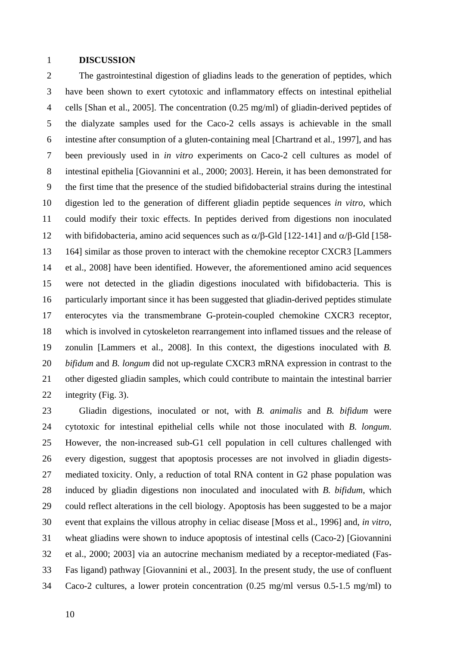### 1 **DISCUSSION**

2 The gastrointestinal digestion of gliadins leads to the generation of peptides, which 3 have been shown to exert cytotoxic and inflammatory effects on intestinal epithelial 4 cells [Shan et al., 2005]. The concentration (0.25 mg/ml) of gliadin-derived peptides of 5 the dialyzate samples used for the Caco-2 cells assays is achievable in the small 6 intestine after consumption of a gluten-containing meal [Chartrand et al., 1997], and has 7 been previously used in *in vitro* experiments on Caco-2 cell cultures as model of 8 intestinal epithelia [Giovannini et al., 2000; 2003]. Herein, it has been demonstrated for 9 the first time that the presence of the studied bifidobacterial strains during the intestinal 10 digestion led to the generation of different gliadin peptide sequences *in vitro*, which 11 could modify their toxic effects. In peptides derived from digestions non inoculated 12 with bifidobacteria, amino acid sequences such as  $\alpha/\beta$ -Gld [122-141] and  $\alpha/\beta$ -Gld [158-13 164] similar as those proven to interact with the chemokine receptor CXCR3 [Lammers 14 et al., 2008] have been identified. However, the aforementioned amino acid sequences 15 were not detected in the gliadin digestions inoculated with bifidobacteria. This is 16 particularly important since it has been suggested that gliadin-derived peptides stimulate 17 enterocytes via the transmembrane G-protein-coupled chemokine CXCR3 receptor, 18 which is involved in cytoskeleton rearrangement into inflamed tissues and the release of 19 zonulin [Lammers et al., 2008]. In this context, the digestions inoculated with *B.*  20 *bifidum* and *B. longum* did not up-regulate CXCR3 mRNA expression in contrast to the 21 other digested gliadin samples, which could contribute to maintain the intestinal barrier 22 integrity (Fig. 3).

23 Gliadin digestions, inoculated or not, with *B. animalis* and *B. bifidum* were 24 cytotoxic for intestinal epithelial cells while not those inoculated with *B. longum*. 25 However, the non-increased sub-G1 cell population in cell cultures challenged with 26 every digestion, suggest that apoptosis processes are not involved in gliadin digests-27 mediated toxicity. Only, a reduction of total RNA content in G2 phase population was 28 induced by gliadin digestions non inoculated and inoculated with *B. bifidum*, which 29 could reflect alterations in the cell biology. Apoptosis has been suggested to be a major 30 event that explains the villous atrophy in celiac disease [Moss et al., 1996] and, *in vitro*, 31 wheat gliadins were shown to induce apoptosis of intestinal cells (Caco-2) [Giovannini 32 et al., 2000; 2003] via an autocrine mechanism mediated by a receptor-mediated (Fas-33 Fas ligand) pathway [Giovannini et al., 2003]. In the present study, the use of confluent 34 Caco-2 cultures, a lower protein concentration (0.25 mg/ml versus 0.5-1.5 mg/ml) to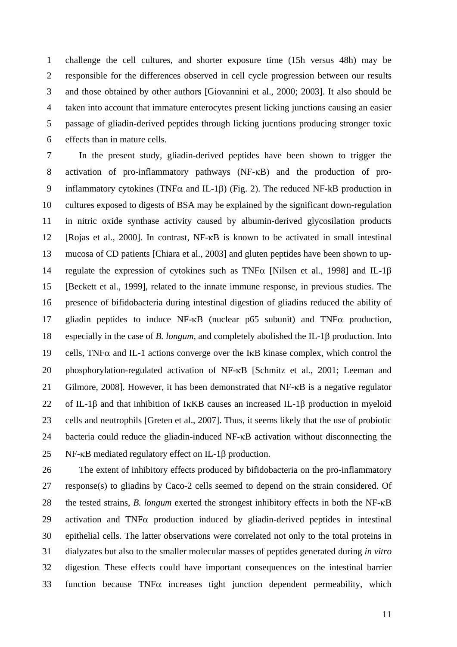1 challenge the cell cultures, and shorter exposure time (15h versus 48h) may be 2 responsible for the differences observed in cell cycle progression between our results 3 and those obtained by other authors [Giovannini et al., 2000; 2003]. It also should be 4 taken into account that immature enterocytes present licking junctions causing an easier 5 passage of gliadin-derived peptides through licking jucntions producing stronger toxic 6 effects than in mature cells.

7 In the present study, gliadin-derived peptides have been shown to trigger the 8 activation of pro-inflammatory pathways (NF-KB) and the production of pro-9 inflammatory cytokines (TNF $\alpha$  and IL-1 $\beta$ ) (Fig. 2). The reduced NF-kB production in 10 cultures exposed to digests of BSA may be explained by the significant down-regulation 11 in nitric oxide synthase activity caused by albumin-derived glycosilation products 12 [Rojas et al., 2000]. In contrast, NF-KB is known to be activated in small intestinal 13 mucosa of CD patients [Chiara et al., 2003] and gluten peptides have been shown to up-14 regulate the expression of cytokines such as TNF $\alpha$  [Nilsen et al., 1998] and IL-1 $\beta$ 15 [Beckett et al., 1999], related to the innate immune response, in previous studies. The 16 presence of bifidobacteria during intestinal digestion of gliadins reduced the ability of 17 gliadin peptides to induce  $NF-\kappa B$  (nuclear p65 subunit) and  $TNF\alpha$  production, 18 especially in the case of *B. longum*, and completely abolished the IL-1 $\beta$  production. Into 19 cells, TNF $\alpha$  and IL-1 actions converge over the IKB kinase complex, which control the 20 phosphorylation-regulated activation of NF-KB [Schmitz et al., 2001; Leeman and 21 Gilmore, 2008]. However, it has been demonstrated that  $NF-\kappa B$  is a negative regulator 22 of IL-1 $\beta$  and that inhibition of IKKB causes an increased IL-1 $\beta$  production in myeloid 23 cells and neutrophils [Greten et al., 2007]. Thus, it seems likely that the use of probiotic 24 bacteria could reduce the gliadin-induced NF- $\kappa$ B activation without disconnecting the 25 NF- $\kappa$ B mediated regulatory effect on IL-1 $\beta$  production.

26 The extent of inhibitory effects produced by bifidobacteria on the pro-inflammatory 27 response(s) to gliadins by Caco-2 cells seemed to depend on the strain considered. Of 28 the tested strains, *B. longum* exerted the strongest inhibitory effects in both the NF- $\kappa$ B 29 activation and TNF $\alpha$  production induced by gliadin-derived peptides in intestinal 30 epithelial cells. The latter observations were correlated not only to the total proteins in 31 dialyzates but also to the smaller molecular masses of peptides generated during *in vitro* 32 digestion. These effects could have important consequences on the intestinal barrier  $33$  function because TNF $\alpha$  increases tight junction dependent permeability, which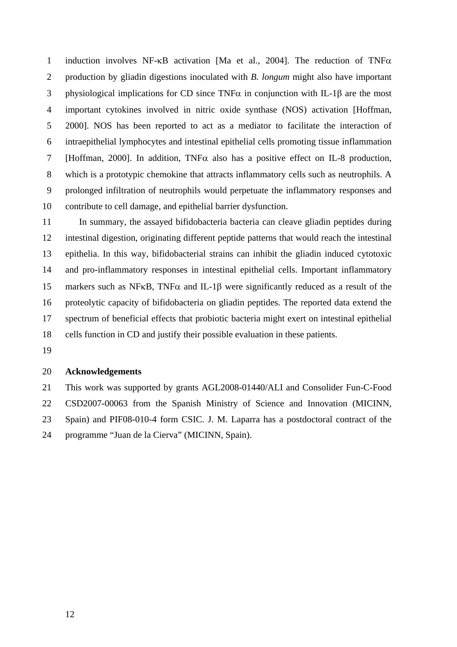1 induction involves NF- $\kappa$ B activation [Ma et al., 2004]. The reduction of TNF $\alpha$ 2 production by gliadin digestions inoculated with *B. longum* might also have important 3 physiological implications for CD since TNF $\alpha$  in conjunction with IL-1 $\beta$  are the most 4 important cytokines involved in nitric oxide synthase (NOS) activation [Hoffman, 5 2000]. NOS has been reported to act as a mediator to facilitate the interaction of 6 intraepithelial lymphocytes and intestinal epithelial cells promoting tissue inflammation 7 [Hoffman, 2000]. In addition, TNF $\alpha$  also has a positive effect on IL-8 production, 8 which is a prototypic chemokine that attracts inflammatory cells such as neutrophils. A 9 prolonged infiltration of neutrophils would perpetuate the inflammatory responses and 10 contribute to cell damage, and epithelial barrier dysfunction.

11 In summary, the assayed bifidobacteria bacteria can cleave gliadin peptides during 12 intestinal digestion, originating different peptide patterns that would reach the intestinal 13 epithelia. In this way, bifidobacterial strains can inhibit the gliadin induced cytotoxic 14 and pro-inflammatory responses in intestinal epithelial cells. Important inflammatory 15 markers such as NF $\kappa$ B, TNF $\alpha$  and IL-1 $\beta$  were significantly reduced as a result of the 16 proteolytic capacity of bifidobacteria on gliadin peptides. The reported data extend the 17 spectrum of beneficial effects that probiotic bacteria might exert on intestinal epithelial 18 cells function in CD and justify their possible evaluation in these patients.

19

#### 20 **Acknowledgements**

21 This work was supported by grants AGL2008-01440/ALI and Consolider Fun-C-Food 22 CSD2007-00063 from the Spanish Ministry of Science and Innovation (MICINN, 23 Spain) and PIF08-010-4 form CSIC. J. M. Laparra has a postdoctoral contract of the 24 programme "Juan de la Cierva" (MICINN, Spain).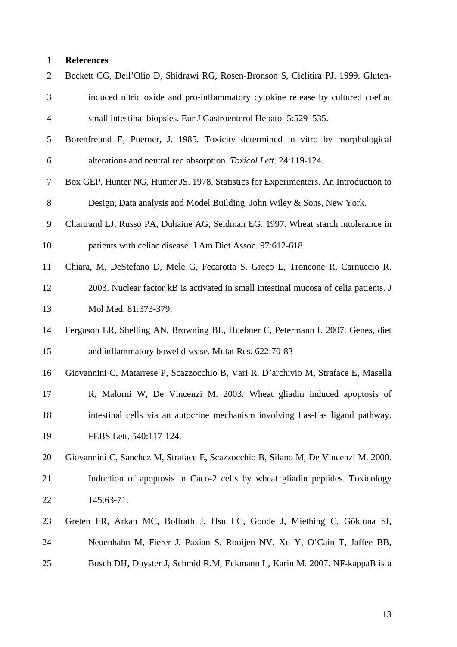| $\overline{c}$ | Beckett CG, Dell'Olio D, Shidrawi RG, Rosen-Bronson S, Ciclitira PJ. 1999. Gluten-    |
|----------------|---------------------------------------------------------------------------------------|
| 3              | induced nitric oxide and pro-inflammatory cytokine release by cultured coeliac        |
| $\overline{4}$ | small intestinal biopsies. Eur J Gastroenterol Hepatol 5:529–535.                     |
| 5              | Borenfreund E, Puerner, J. 1985. Toxicity determined in vitro by morphological        |
| 6              | alterations and neutral red absorption. Toxicol Lett. 24:119-124.                     |
| 7              | Box GEP, Hunter NG, Hunter JS. 1978. Statistics for Experimenters. An Introduction to |
| 8              | Design, Data analysis and Model Building. John Wiley & Sons, New York.                |
| 9              | Chartrand LJ, Russo PA, Duhaine AG, Seidman EG. 1997. Wheat starch intolerance in     |
| 10             | patients with celiac disease. J Am Diet Assoc. 97:612-618.                            |
| 11             | Chiara, M, DeStefano D, Mele G, Fecarotta S, Greco L, Troncone R, Carnuccio R.        |
| 12             | 2003. Nuclear factor kB is activated in small intestinal mucosa of celia patients. J  |
| 13             | Mol Med. 81:373-379.                                                                  |
| 14             | Ferguson LR, Shelling AN, Browning BL, Huebner C, Petermann I. 2007. Genes, diet      |
| 15             | and inflammatory bowel disease. Mutat Res. 622:70-83                                  |
| 16             | Giovannini C, Matarrese P, Scazzocchio B, Vari R, D'archivio M, Straface E, Masella   |
| 17             | R, Malorni W, De Vincenzi M. 2003. Wheat gliadin induced apoptosis of                 |
| 18             | intestinal cells via an autocrine mechanism involving Fas-Fas ligand pathway.         |
| 19             | FEBS Lett. 540:117-124.                                                               |
| 20             | Giovannini C, Sanchez M, Straface E, Scazzocchio B, Silano M, De Vincenzi M. 2000.    |
| 21             | Induction of apoptosis in Caco-2 cells by wheat gliadin peptides. Toxicology          |
| 22             | 145:63-71.                                                                            |
| 23             | Greten FR, Arkan MC, Bollrath J, Hsu LC, Goode J, Miething C, Göktuna SI,             |
| 24             | Neuenhahn M, Fierer J, Paxian S, Rooijen NV, Xu Y, O'Cain T, Jaffee BB,               |
| 25             | Busch DH, Duyster J, Schmid R.M, Eckmann L, Karin M. 2007. NF-kappaB is a             |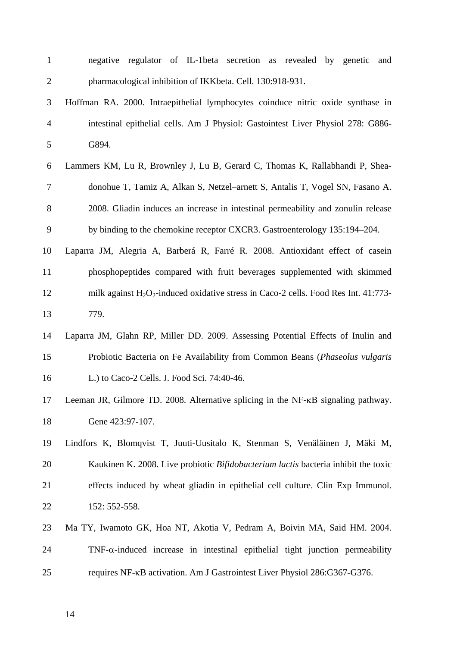| $\mathbf{1}$   | regulator of IL-1beta secretion as revealed by genetic<br>and<br>negative                 |
|----------------|-------------------------------------------------------------------------------------------|
| $\overline{2}$ | pharmacological inhibition of IKKbeta. Cell. 130:918-931.                                 |
| 3              | Hoffman RA. 2000. Intraepithelial lymphocytes coinduce nitric oxide synthase in           |
| $\overline{4}$ | intestinal epithelial cells. Am J Physiol: Gastointest Liver Physiol 278: G886-           |
| 5              | G894.                                                                                     |
| 6              | Lammers KM, Lu R, Brownley J, Lu B, Gerard C, Thomas K, Rallabhandi P, Shea-              |
| $\tau$         | donohue T, Tamiz A, Alkan S, Netzel–arnett S, Antalis T, Vogel SN, Fasano A.              |
| 8              | 2008. Gliadin induces an increase in intestinal permeability and zonulin release          |
| 9              | by binding to the chemokine receptor CXCR3. Gastroenterology 135:194–204.                 |
| 10             | Laparra JM, Alegria A, Barberá R, Farré R. 2008. Antioxidant effect of casein             |
| 11             | phosphopeptides compared with fruit beverages supplemented with skimmed                   |
| 12             | milk against $H_2O_2$ -induced oxidative stress in Caco-2 cells. Food Res Int. 41:773-    |
| 13             | 779.                                                                                      |
| 14             | Laparra JM, Glahn RP, Miller DD. 2009. Assessing Potential Effects of Inulin and          |
| 15             | Probiotic Bacteria on Fe Availability from Common Beans (Phaseolus vulgaris               |
| 16             | L.) to Caco-2 Cells. J. Food Sci. 74:40-46.                                               |
| 17             | Leeman JR, Gilmore TD. 2008. Alternative splicing in the NF-KB signaling pathway.         |
| 18             | Gene 423:97-107.                                                                          |
| 19             | Lindfors K, Blomqvist T, Juuti-Uusitalo K, Stenman S, Venäläinen J, Mäki M,               |
| 20             | Kaukinen K. 2008. Live probiotic <i>Bifidobacterium lactis</i> bacteria inhibit the toxic |
| 21             | effects induced by wheat gliadin in epithelial cell culture. Clin Exp Immunol.            |
| 22             | 152: 552-558.                                                                             |
| 23             | Ma TY, Iwamoto GK, Hoa NT, Akotia V, Pedram A, Boivin MA, Said HM. 2004.                  |
| 24             | $TNF-\alpha$ -induced increase in intestinal epithelial tight junction permeability       |
| 25             | requires NF-KB activation. Am J Gastrointest Liver Physiol 286:G367-G376.                 |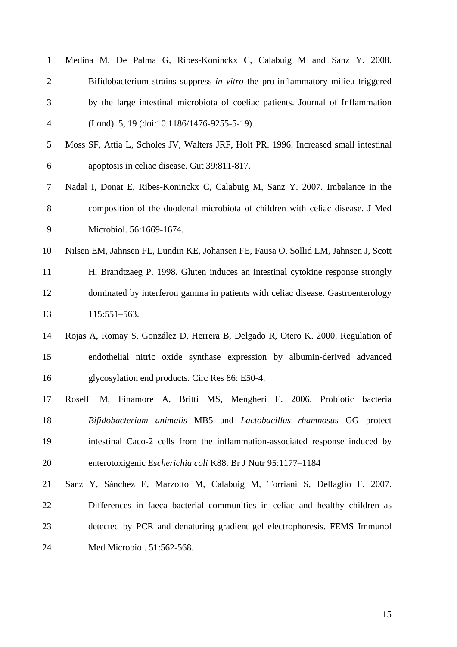| $\mathbf{1}$   | Medina M, De Palma G, Ribes-Koninckx C, Calabuig M and Sanz Y. 2008.                 |
|----------------|--------------------------------------------------------------------------------------|
| $\overline{2}$ | Bifidobacterium strains suppress in vitro the pro-inflammatory milieu triggered      |
| 3              | by the large intestinal microbiota of coeliac patients. Journal of Inflammation      |
| $\overline{4}$ | (Lond). 5, 19 (doi:10.1186/1476-9255-5-19).                                          |
| 5              | Moss SF, Attia L, Scholes JV, Walters JRF, Holt PR. 1996. Increased small intestinal |
| 6              | apoptosis in celiac disease. Gut 39:811-817.                                         |
| 7              | Nadal I, Donat E, Ribes-Koninckx C, Calabuig M, Sanz Y. 2007. Imbalance in the       |
| 8              | composition of the duodenal microbiota of children with celiac disease. J Med        |
| 9              | Microbiol. 56:1669-1674.                                                             |
| 10             | Nilsen EM, Jahnsen FL, Lundin KE, Johansen FE, Fausa O, Sollid LM, Jahnsen J, Scott  |
| 11             | H, Brandtzaeg P. 1998. Gluten induces an intestinal cytokine response strongly       |
| 12             | dominated by interferon gamma in patients with celiac disease. Gastroenterology      |
| 13             | 115:551-563.                                                                         |
| 14             | Rojas A, Romay S, González D, Herrera B, Delgado R, Otero K. 2000. Regulation of     |
| 15             | endothelial nitric oxide synthase expression by albumin-derived advanced             |
| 16             | glycosylation end products. Circ Res 86: E50-4.                                      |
| 17             | Roselli M, Finamore A, Britti MS, Mengheri E. 2006. Probiotic bacteria               |
| 18             | Bifidobacterium animalis MB5 and Lactobacillus rhamnosus GG protect                  |
| 19             | intestinal Caco-2 cells from the inflammation-associated response induced by         |
| 20             | enterotoxigenic Escherichia coli K88. Br J Nutr 95:1177-1184                         |
| 21             | Sanz Y, Sánchez E, Marzotto M, Calabuig M, Torriani S, Dellaglio F. 2007.            |
| 22             | Differences in faeca bacterial communities in celiac and healthy children as         |
| 23             | detected by PCR and denaturing gradient gel electrophoresis. FEMS Immunol            |
| 24             | Med Microbiol. 51:562-568.                                                           |
|                |                                                                                      |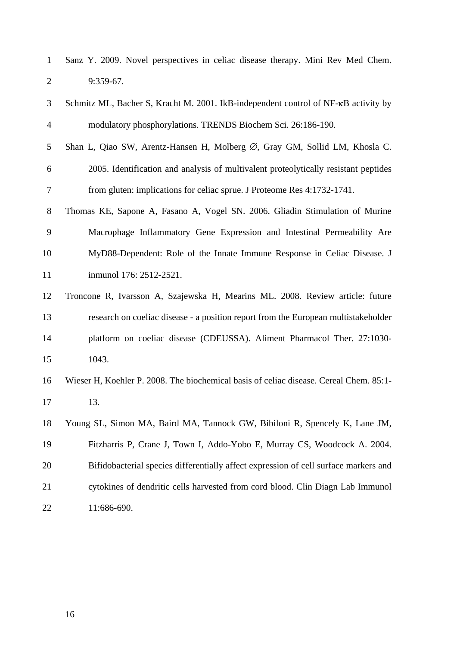1 Sanz Y. 2009. Novel perspectives in celiac disease therapy. Mini Rev Med Chem. 2 9:359-67.

- 3 Schmitz ML, Bacher S, Kracht M. 2001. IkB-independent control of NF- $\kappa$ B activity by 4 modulatory phosphorylations. TRENDS Biochem Sci. 26:186-190.
- 5 Shan L, Qiao SW, Arentz-Hansen H, Molberg  $\varnothing$ , Gray GM, Sollid LM, Khosla C. 6 2005. Identification and analysis of multivalent proteolytically resistant peptides 7 from gluten: implications for celiac sprue. J Proteome Res 4:1732-1741.
- 8 Thomas KE, Sapone A, Fasano A, Vogel SN. 2006. Gliadin Stimulation of Murine 9 Macrophage Inflammatory Gene Expression and Intestinal Permeability Are 10 MyD88-Dependent: Role of the Innate Immune Response in Celiac Disease. J 11 inmunol 176: 2512-2521.
- 12 Troncone R, Ivarsson A, Szajewska H, Mearins ML. 2008. Review article: future 13 research on coeliac disease - a position report from the European multistakeholder 14 platform on coeliac disease (CDEUSSA). Aliment Pharmacol Ther. 27:1030- 15 1043.
- 16 Wieser H, Koehler P. 2008. The biochemical basis of celiac disease. Cereal Chem. 85:1- 17 13.
- 18 Young SL, Simon MA, Baird MA, Tannock GW, Bibiloni R, Spencely K, Lane JM, 19 Fitzharris P, Crane J, Town I, Addo-Yobo E, Murray CS, Woodcock A. 2004. 20 Bifidobacterial species differentially affect expression of cell surface markers and 21 cytokines of dendritic cells harvested from cord blood. Clin Diagn Lab Immunol 22 11:686-690.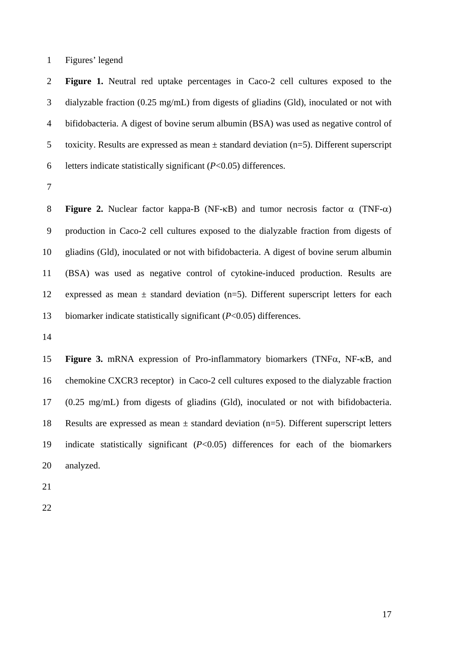1 Figures' legend

2 **Figure 1.** Neutral red uptake percentages in Caco-2 cell cultures exposed to the 3 dialyzable fraction (0.25 mg/mL) from digests of gliadins (Gld), inoculated or not with 4 bifidobacteria. A digest of bovine serum albumin (BSA) was used as negative control of 5 toxicity. Results are expressed as mean  $\pm$  standard deviation (n=5). Different superscript 6 letters indicate statistically significant (*P*<0.05) differences.

7

8 **Figure 2.** Nuclear factor kappa-B (NF- $\kappa$ B) and tumor necrosis factor  $\alpha$  (TNF- $\alpha$ ) 9 production in Caco-2 cell cultures exposed to the dialyzable fraction from digests of 10 gliadins (Gld), inoculated or not with bifidobacteria. A digest of bovine serum albumin 11 (BSA) was used as negative control of cytokine-induced production. Results are 12 expressed as mean  $\pm$  standard deviation (n=5). Different superscript letters for each 13 biomarker indicate statistically significant (*P*<0.05) differences.

14

15 **Figure 3.** mRNA expression of Pro-inflammatory biomarkers (TNF $\alpha$ , NF- $\kappa$ B, and 16 chemokine CXCR3 receptor) in Caco-2 cell cultures exposed to the dialyzable fraction 17 (0.25 mg/mL) from digests of gliadins (Gld), inoculated or not with bifidobacteria. 18 Results are expressed as mean ± standard deviation (n=5). Different superscript letters 19 indicate statistically significant (*P*<0.05) differences for each of the biomarkers 20 analyzed.

- 21
- 22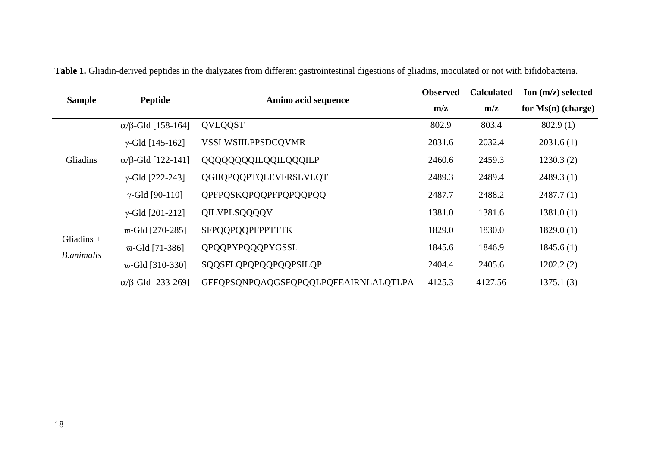| <b>Sample</b>                     | <b>Peptide</b>          | Amino acid sequence                  | <b>Observed</b> | <b>Calculated</b> | Ion $(m/z)$ selected |
|-----------------------------------|-------------------------|--------------------------------------|-----------------|-------------------|----------------------|
|                                   |                         |                                      | m/z             | m/z               | for $Ms(n)$ (charge) |
|                                   | $α/β$ -Gld [158-164]    | QVLQQST                              | 802.9           | 803.4             | 802.9(1)             |
|                                   | $\gamma$ -Gld [145-162] | VSSLWSIILPPSDCQVMR                   | 2031.6          | 2032.4            | 2031.6(1)            |
| Gliadins                          | $α/β$ -Gld [122-141]    | QQQQQQQULQQILQQQILP                  | 2460.6          | 2459.3            | 1230.3(2)            |
|                                   | $\gamma$ -Gld [222-243] | QGIIQPQQPTQLEVFRSLVLQT               | 2489.3          | 2489.4            | 2489.3(1)            |
|                                   | $\gamma$ -Gld [90-110]  | QPFPQSKQPQQPFPQPQQPQQ                | 2487.7          | 2488.2            | 2487.7(1)            |
|                                   | $\gamma$ -Gld [201-212] | QILVPLSQQQQV                         | 1381.0          | 1381.6            | 1381.0(1)            |
|                                   | $\varpi$ -Gld [270-285] | <b>SFPQQPQQPFPPTTTK</b>              | 1829.0          | 1830.0            | 1829.0(1)            |
| Gliadins $+$<br><b>B.animalis</b> | $\varpi$ -Gld [71-386]  | QPQQPYPQQQPYGSSL                     | 1845.6          | 1846.9            | 1845.6(1)            |
|                                   | $\varpi$ -Gld [310-330] | SQQSFLQPQPQQPQQPSILQP                | 2404.4          | 2405.6            | 1202.2(2)            |
|                                   | $α/β$ -Gld [233-269]    | GFFQPSQNPQAQGSFQPQQLPQFEAIRNLALQTLPA | 4125.3          | 4127.56           | 1375.1(3)            |

**Table 1.** Gliadin-derived peptides in the dialyzates from different gastrointestinal digestions of gliadins, inoculated or not with bifidobacteria.